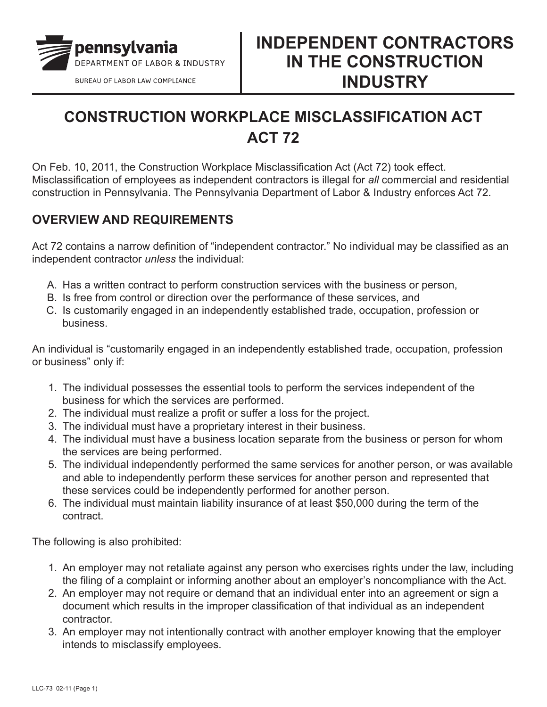

## **CONSTRUCTION WORKPLACE MISCLASSIFICATION ACT ACT 72**

On Feb. 10, 2011, the Construction Workplace Misclassification Act (Act 72) took effect. Misclassification of employees as independent contractors is illegal for *all* commercial and residential construction in Pennsylvania. The Pennsylvania Department of Labor & Industry enforces Act 72.

## **OVERVIEW AND REQUIREMENTS**

Act 72 contains a narrow definition of "independent contractor." No individual may be classified as an independent contractor *unless* the individual:

- A. Has a written contract to perform construction services with the business or person,
- B. Is free from control or direction over the performance of these services, and
- C. Is customarily engaged in an independently established trade, occupation, profession or business.

An individual is "customarily engaged in an independently established trade, occupation, profession or business" only if:

- 1. The individual possesses the essential tools to perform the services independent of the business for which the services are performed.
- 2. The individual must realize a profit or suffer a loss for the project.
- 3. The individual must have a proprietary interest in their business.
- 4. The individual must have a business location separate from the business or person for whom the services are being performed.
- 5. The individual independently performed the same services for another person, or was available and able to independently perform these services for another person and represented that these services could be independently performed for another person.
- 6. The individual must maintain liability insurance of at least \$50,000 during the term of the contract.

The following is also prohibited:

- 1. An employer may not retaliate against any person who exercises rights under the law, including the filing of a complaint or informing another about an employer's noncompliance with the Act.
- 2. An employer may not require or demand that an individual enter into an agreement or sign a document which results in the improper classification of that individual as an independent contractor.
- 3. An employer may not intentionally contract with another employer knowing that the employer intends to misclassify employees.